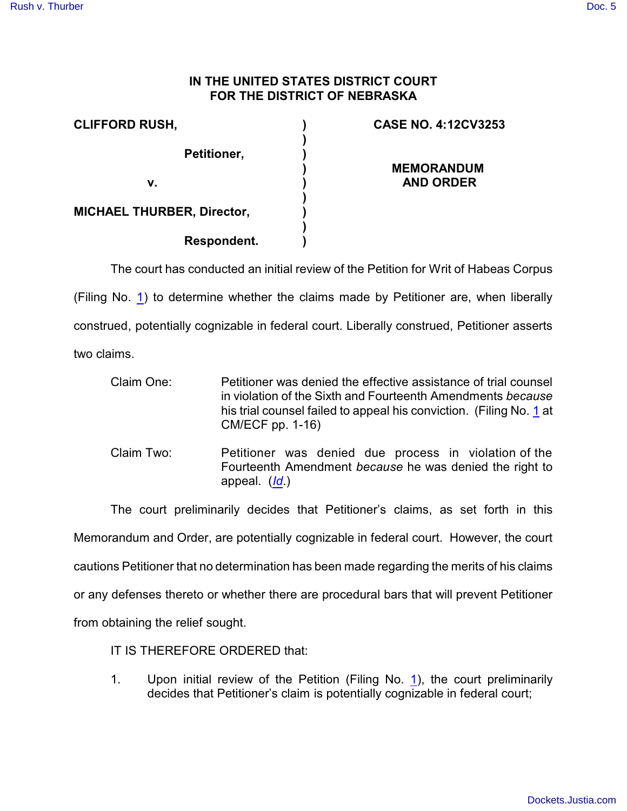## **IN THE UNITED STATES DISTRICT COURT FOR THE DISTRICT OF NEBRASKA**

| <b>CLIFFORD RUSH,</b>             | <b>CASE NO. 4:12CV3253</b> |
|-----------------------------------|----------------------------|
| Petitioner,                       | <b>MEMORANDUM</b>          |
| v.                                | <b>AND ORDER</b>           |
| <b>MICHAEL THURBER, Director,</b> |                            |
| Respondent.                       |                            |

The court has conducted an initial review of the Petition for Writ of Habeas Corpus (Filing No. [1](https://ecf.ned.uscourts.gov/doc1/11312676388)) to determine whether the claims made by Petitioner are, when liberally construed, potentially cognizable in federal court. Liberally construed, Petitioner asserts two claims.

Claim One: Petitioner was denied the effective assistance of trial counsel in violation of the Sixth and Fourteenth Amendments *because* his trial counsel failed to appeal his conviction. (Filing No. [1](https://ecf.ned.uscourts.gov/doc1/11312676388) at CM/ECF pp. 1-16)

Claim Two: Petitioner was denied due process in violation of the Fourteenth Amendment *because* he was denied the right to appeal. (*[Id](https://ecf.ned.uscourts.gov/doc1/11312676388)*.)

The court preliminarily decides that Petitioner's claims, as set forth in this Memorandum and Order, are potentially cognizable in federal court. However, the court cautions Petitioner that no determination has been made regarding the merits of his claims or any defenses thereto or whether there are procedural bars that will prevent Petitioner from obtaining the relief sought.

IT IS THEREFORE ORDERED that:

1. Upon initial review of the Petition (Filing No. [1](https://ecf.ned.uscourts.gov/doc1/11312676388)), the court preliminarily decides that Petitioner's claim is potentially cognizable in federal court;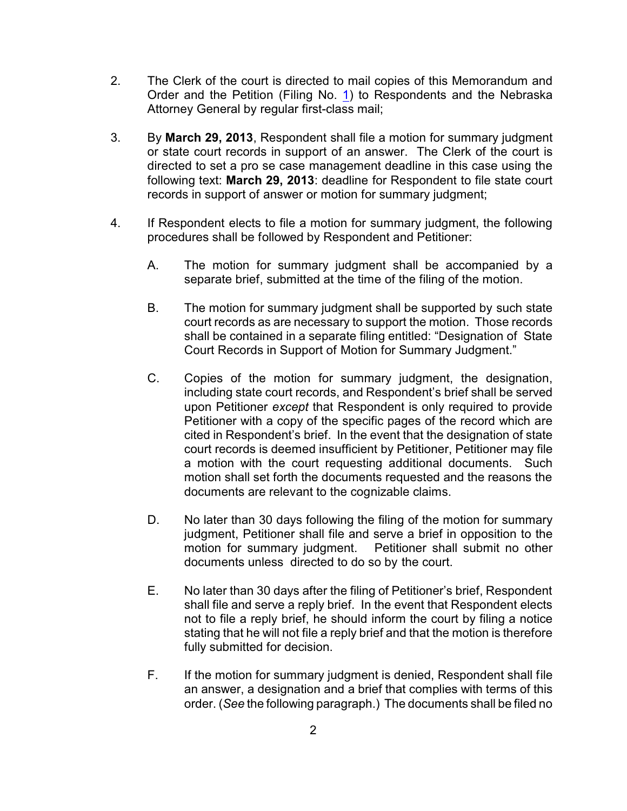- 2. The Clerk of the court is directed to mail copies of this Memorandum and Order and the Petition (Filing No. [1](https://ecf.ned.uscourts.gov/doc1/11312676388)) to Respondents and the Nebraska Attorney General by regular first-class mail;
- 3. By **March 29, 2013**, Respondent shall file a motion for summary judgment or state court records in support of an answer. The Clerk of the court is directed to set a pro se case management deadline in this case using the following text: **March 29, 2013**: deadline for Respondent to file state court records in support of answer or motion for summary judgment;
- 4. If Respondent elects to file a motion for summary judgment, the following procedures shall be followed by Respondent and Petitioner:
	- A. The motion for summary judgment shall be accompanied by a separate brief, submitted at the time of the filing of the motion.
	- B. The motion for summary judgment shall be supported by such state court records as are necessary to support the motion. Those records shall be contained in a separate filing entitled: "Designation of State Court Records in Support of Motion for Summary Judgment."
	- C. Copies of the motion for summary judgment, the designation, including state court records, and Respondent's brief shall be served upon Petitioner *except* that Respondent is only required to provide Petitioner with a copy of the specific pages of the record which are cited in Respondent's brief. In the event that the designation of state court records is deemed insufficient by Petitioner, Petitioner may file a motion with the court requesting additional documents. Such motion shall set forth the documents requested and the reasons the documents are relevant to the cognizable claims.
	- D. No later than 30 days following the filing of the motion for summary judgment, Petitioner shall file and serve a brief in opposition to the motion for summary judgment. Petitioner shall submit no other documents unless directed to do so by the court.
	- E. No later than 30 days after the filing of Petitioner's brief, Respondent shall file and serve a reply brief. In the event that Respondent elects not to file a reply brief, he should inform the court by filing a notice stating that he will not file a reply brief and that the motion is therefore fully submitted for decision.
	- F. If the motion for summary judgment is denied, Respondent shall file an answer, a designation and a brief that complies with terms of this order. (*See* the following paragraph.) The documents shall be filed no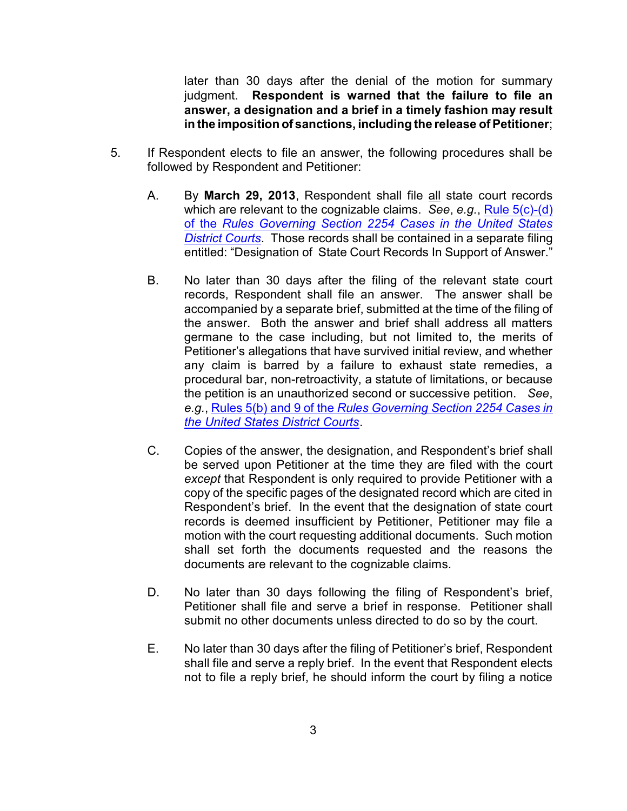later than 30 days after the denial of the motion for summary judgment. **Respondent is warned that the failure to file an answer, a designation and a brief in a timely fashion may result in the imposition of sanctions, including the release of Petitioner**;

- 5. If Respondent elects to file an answer, the following procedures shall be followed by Respondent and Petitioner:
	- A. By **March 29, 2013**, Respondent shall file all state court records which are relevant to the cognizable claims. *See*, *e.g.*, [Rule 5\(c\)-\(d\)](http://web2.westlaw.com/result/default.wl?tf=0&fn=_top&scxt=WL&crbp=0&mt=Westlaw&rs=WLW9.08&cite=SECT+Section+2254&jrtadvtype=0&cfid=1&action=DODIS&rpst=None&cxt=DC&vr=2.0&disrelpos=4&candisnum=1&sv=Split&cnt=DOC&disnav=NEXT&ss=CNT&service=Find&rlt=CLID_) of the *[Rules Governing Section 2254 Cases in the United States](http://web2.westlaw.com/result/default.wl?tf=0&fn=_top&scxt=WL&crbp=0&mt=Westlaw&rs=WLW9.08&cite=SECT+Section+2254&jrtadvtype=0&cfid=1&action=DODIS&rpst=None&cxt=DC&vr=2.0&disrelpos=4&candisnum=1&sv=Split&cnt=DOC&disnav=NEXT&ss=CNT&service=Find&rlt=CLID_) [District Courts](http://web2.westlaw.com/result/default.wl?tf=0&fn=_top&scxt=WL&crbp=0&mt=Westlaw&rs=WLW9.08&cite=SECT+Section+2254&jrtadvtype=0&cfid=1&action=DODIS&rpst=None&cxt=DC&vr=2.0&disrelpos=4&candisnum=1&sv=Split&cnt=DOC&disnav=NEXT&ss=CNT&service=Find&rlt=CLID_)*. Those records shall be contained in a separate filing entitled: "Designation of State Court Records In Support of Answer."
	- B. No later than 30 days after the filing of the relevant state court records, Respondent shall file an answer. The answer shall be accompanied by a separate brief, submitted at the time of the filing of the answer. Both the answer and brief shall address all matters germane to the case including, but not limited to, the merits of Petitioner's allegations that have survived initial review, and whether any claim is barred by a failure to exhaust state remedies, a procedural bar, non-retroactivity, a statute of limitations, or because the petition is an unauthorized second or successive petition. *See*, *e.g.*, Rules 5(b) and 9 of the *[Rules Governing Section 2254 Cases in](http://web2.westlaw.com/result/default.wl?tf=0&fn=_top&scxt=WL&crbp=0&mt=Westlaw&rs=WLW9.08&cite=SECT+Section+2254&jrtadvtype=0&cfid=1&action=DODIS&rpst=None&cxt=DC&vr=2.0&disrelpos=4&candisnum=1&sv=Split&cnt=DOC&disnav=NEXT&ss=CNT&service=Find&rlt=CLID_) [the United States District Courts](http://web2.westlaw.com/result/default.wl?tf=0&fn=_top&scxt=WL&crbp=0&mt=Westlaw&rs=WLW9.08&cite=SECT+Section+2254&jrtadvtype=0&cfid=1&action=DODIS&rpst=None&cxt=DC&vr=2.0&disrelpos=4&candisnum=1&sv=Split&cnt=DOC&disnav=NEXT&ss=CNT&service=Find&rlt=CLID_)*.
	- C. Copies of the answer, the designation, and Respondent's brief shall be served upon Petitioner at the time they are filed with the court *except* that Respondent is only required to provide Petitioner with a copy of the specific pages of the designated record which are cited in Respondent's brief. In the event that the designation of state court records is deemed insufficient by Petitioner, Petitioner may file a motion with the court requesting additional documents. Such motion shall set forth the documents requested and the reasons the documents are relevant to the cognizable claims.
	- D. No later than 30 days following the filing of Respondent's brief, Petitioner shall file and serve a brief in response. Petitioner shall submit no other documents unless directed to do so by the court.
	- E. No later than 30 days after the filing of Petitioner's brief, Respondent shall file and serve a reply brief. In the event that Respondent elects not to file a reply brief, he should inform the court by filing a notice